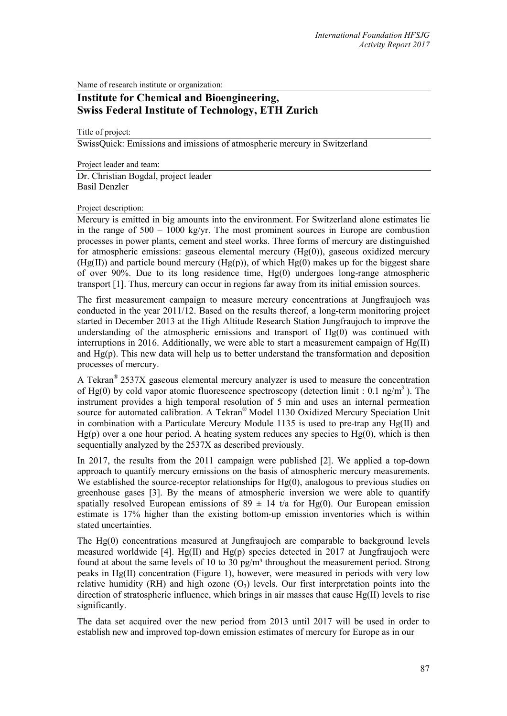Name of research institute or organization:

## **Institute for Chemical and Bioengineering, Swiss Federal Institute of Technology, ETH Zurich**

Title of project:

SwissQuick: Emissions and imissions of atmospheric mercury in Switzerland

Project leader and team: Dr. Christian Bogdal, project leader Basil Denzler

## Project description:

Mercury is emitted in big amounts into the environment. For Switzerland alone estimates lie in the range of  $500 - 1000$  kg/yr. The most prominent sources in Europe are combustion processes in power plants, cement and steel works. Three forms of mercury are distinguished for atmospheric emissions: gaseous elemental mercury  $(Hg(0))$ , gaseous oxidized mercury  $(Hg(II))$  and particle bound mercury  $(Hg(p))$ , of which  $Hg(0)$  makes up for the biggest share of over 90%. Due to its long residence time, Hg(0) undergoes long-range atmospheric transport [1]. Thus, mercury can occur in regions far away from its initial emission sources.

The first measurement campaign to measure mercury concentrations at Jungfraujoch was conducted in the year 2011/12. Based on the results thereof, a long-term monitoring project started in December 2013 at the High Altitude Research Station Jungfraujoch to improve the understanding of the atmospheric emissions and transport of  $Hg(0)$  was continued with interruptions in 2016. Additionally, we were able to start a measurement campaign of Hg(II) and  $Hg(p)$ . This new data will help us to better understand the transformation and deposition processes of mercury.

A Tekran® 2537X gaseous elemental mercury analyzer is used to measure the concentration of Hg(0) by cold vapor atomic fluorescence spectroscopy (detection limit : 0.1 ng/m<sup>3</sup>). The instrument provides a high temporal resolution of 5 min and uses an internal permeation source for automated calibration. A Tekran® Model 1130 Oxidized Mercury Speciation Unit in combination with a Particulate Mercury Module 1135 is used to pre-trap any Hg(II) and  $Hg(p)$  over a one hour period. A heating system reduces any species to  $Hg(0)$ , which is then sequentially analyzed by the 2537X as described previously.

In 2017, the results from the 2011 campaign were published [2]. We applied a top-down approach to quantify mercury emissions on the basis of atmospheric mercury measurements. We established the source-receptor relationships for  $Hg(0)$ , analogous to previous studies on greenhouse gases [3]. By the means of atmospheric inversion we were able to quantify spatially resolved European emissions of  $89 \pm 14$  t/a for Hg(0). Our European emission estimate is 17% higher than the existing bottom-up emission inventories which is within stated uncertainties.

The Hg(0) concentrations measured at Jungfraujoch are comparable to background levels measured worldwide [4]. Hg(II) and Hg(p) species detected in 2017 at Jungfraujoch were found at about the same levels of 10 to 30 pg/m<sup>3</sup> throughout the measurement period. Strong peaks in Hg(II) concentration (Figure 1), however, were measured in periods with very low relative humidity (RH) and high ozone  $(O_3)$  levels. Our first interpretation points into the direction of stratospheric influence, which brings in air masses that cause Hg(II) levels to rise significantly.

The data set acquired over the new period from 2013 until 2017 will be used in order to establish new and improved top-down emission estimates of mercury for Europe as in our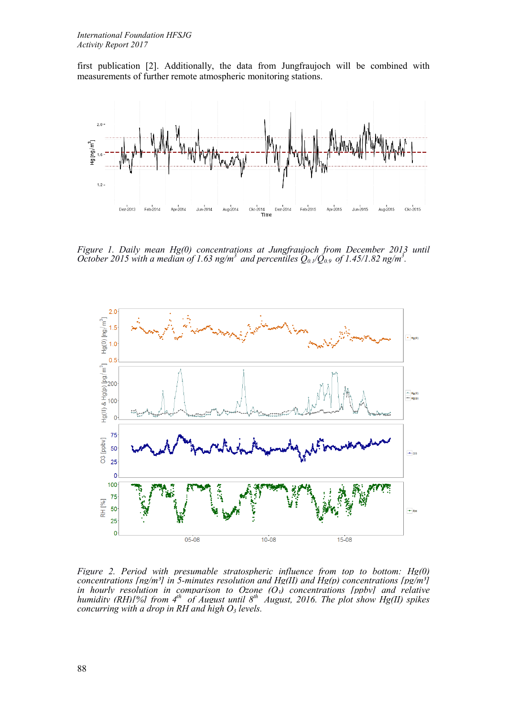first publication [2]. Additionally, the data from Jungfraujoch will be combined with measurements of further remote atmospheric monitoring stations.



*Figure 1. Daily mean Hg(0) concentrations at Jungfraujoch from December 2013 until October 2015 with a median of 1.63 ng/m<sup>3</sup> and percentiles*  $Q_{0.1}/\tilde{Q}_{0.9}$  *of 1.45/1.82 ng/m<sup>3</sup>.* 



*Figure 2. Period with presumable stratospheric influence from top to bottom: Hg(0) concentrations [ng/m<sup>3</sup>] in 5-minutes resolution and Hg(II) and Hg(p) concentrations [pg/m<sup>3</sup>] in hourly resolution in comparison to Ozone (O3) concentrations [ppbv] and relative humidity (RH)[%] from 4<sup>th</sup> of August until 8<sup>th</sup> August, 2016. The plot show Hg(II) spikes concurring with a drop in RH and high O3 levels.*